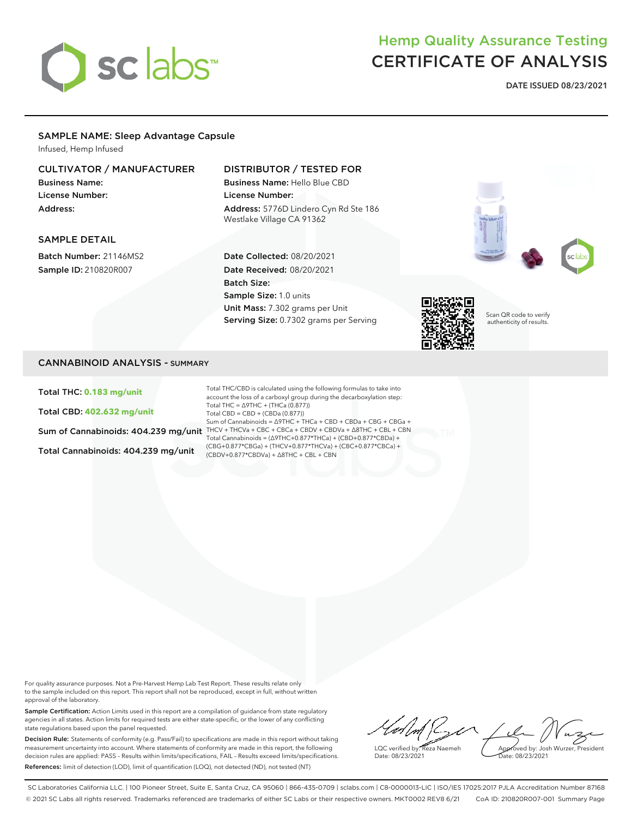

# Hemp Quality Assurance Testing CERTIFICATE OF ANALYSIS

**DATE ISSUED 08/23/2021**

#### SAMPLE NAME: Sleep Advantage Capsule

Infused, Hemp Infused

#### CULTIVATOR / MANUFACTURER

Business Name: License Number: Address:

### DISTRIBUTOR / TESTED FOR

Business Name: Hello Blue CBD License Number: Address: 5776D Lindero Cyn Rd Ste 186 Westlake Village CA 91362

#### SAMPLE DETAIL

Batch Number: 21146MS2 Sample ID: 210820R007



Date Collected: 08/20/2021 Date Received: 08/20/2021 Batch Size: Sample Size: 1.0 units Unit Mass: 7.302 grams per Unit Serving Size: 0.7302 grams per Serving



Scan QR code to verify authenticity of results.

#### CANNABINOID ANALYSIS - SUMMARY

Total THC: **0.183 mg/unit**

Total CBD: **402.632 mg/unit**

Total Cannabinoids: 404.239 mg/unit

Sum of Cannabinoids:  $404.239$  mg/unit THCV + THCVa + CBC + CBCa + CBDV + CBDVa +  $\Delta$ 8THC + CBL + CBN Total THC/CBD is calculated using the following formulas to take into account the loss of a carboxyl group during the decarboxylation step: Total THC =  $\triangle$ 9THC + (THCa (0.877)) Total CBD = CBD + (CBDa (0.877)) Sum of Cannabinoids = ∆9THC + THCa + CBD + CBDa + CBG + CBGa + Total Cannabinoids = (∆9THC+0.877\*THCa) + (CBD+0.877\*CBDa) + (CBG+0.877\*CBGa) + (THCV+0.877\*THCVa) + (CBC+0.877\*CBCa) + (CBDV+0.877\*CBDVa) + ∆8THC + CBL + CBN

For quality assurance purposes. Not a Pre-Harvest Hemp Lab Test Report. These results relate only to the sample included on this report. This report shall not be reproduced, except in full, without written approval of the laboratory.

Sample Certification: Action Limits used in this report are a compilation of guidance from state regulatory agencies in all states. Action limits for required tests are either state-specific, or the lower of any conflicting state regulations based upon the panel requested.

Decision Rule: Statements of conformity (e.g. Pass/Fail) to specifications are made in this report without taking measurement uncertainty into account. Where statements of conformity are made in this report, the following decision rules are applied: PASS – Results within limits/specifications, FAIL – Results exceed limits/specifications. References: limit of detection (LOD), limit of quantification (LOQ), not detected (ND), not tested (NT)

 $\ell \wedge \ell$ Approved by: Josh Wurzer, President LQC verified by: Reza Naemeh ate: 08/23/2021 Date: 08/23/2021

SC Laboratories California LLC. | 100 Pioneer Street, Suite E, Santa Cruz, CA 95060 | 866-435-0709 | sclabs.com | C8-0000013-LIC | ISO/IES 17025:2017 PJLA Accreditation Number 87168 © 2021 SC Labs all rights reserved. Trademarks referenced are trademarks of either SC Labs or their respective owners. MKT0002 REV8 6/21 CoA ID: 210820R007-001 Summary Page